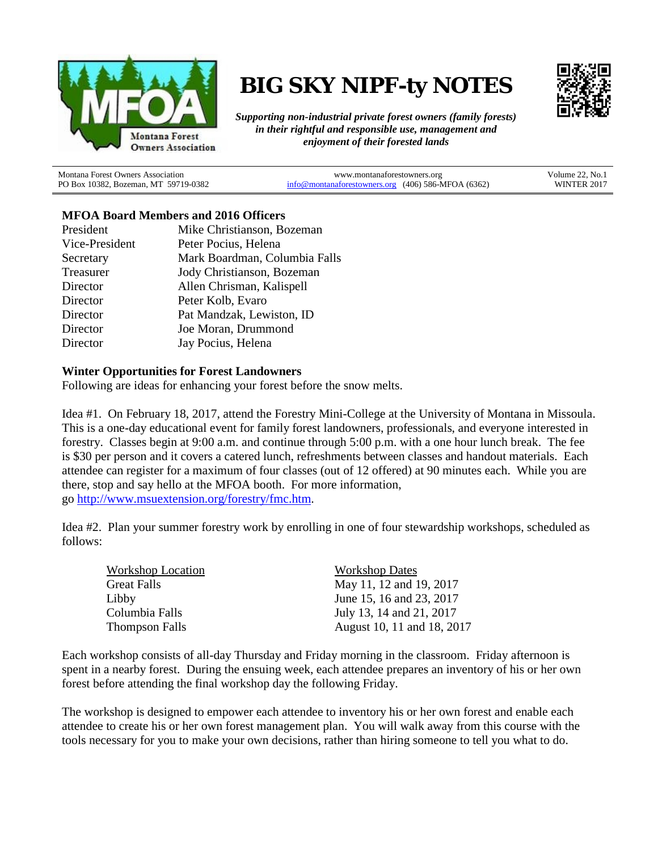

# **BIG SKY NIPF-ty NOTES**



*Supporting non-industrial private forest owners (family forests) in their rightful and responsible use, management and enjoyment of their forested lands*

Montana Forest Owners Association PO Box 10382, Bozeman, MT 59719-0382

www.montanaforestowners.org [info@montanaforestowners.org](mailto:info@montanaforestowners.org) (406) 586-MFOA (6362) Volume 22, No.1 WINTER 2017

# **MFOA Board Members and 2016 Officers**

| President      | Mike Christianson, Bozeman    |
|----------------|-------------------------------|
| Vice-President | Peter Pocius, Helena          |
| Secretary      | Mark Boardman, Columbia Falls |
| Treasurer      | Jody Christianson, Bozeman    |
| Director       | Allen Chrisman, Kalispell     |
| Director       | Peter Kolb, Evaro             |
| Director       | Pat Mandzak, Lewiston, ID     |
| Director       | Joe Moran, Drummond           |
| Director       | Jay Pocius, Helena            |

# **Winter Opportunities for Forest Landowners**

Following are ideas for enhancing your forest before the snow melts.

Idea #1. On February 18, 2017, attend the Forestry Mini-College at the University of Montana in Missoula. This is a one-day educational event for family forest landowners, professionals, and everyone interested in forestry. Classes begin at 9:00 a.m. and continue through 5:00 p.m. with a one hour lunch break. The fee is \$30 per person and it covers a catered lunch, refreshments between classes and handout materials. Each attendee can register for a maximum of four classes (out of 12 offered) at 90 minutes each. While you are there, stop and say hello at the MFOA booth. For more information, go [http://www.msuextension.org/forestry/fmc.htm.](http://www.msuextension.org/forestry/fmc.htm)

Idea #2. Plan your summer forestry work by enrolling in one of four stewardship workshops, scheduled as follows:

| <b>Workshop Location</b> | <b>Workshop Dates</b>      |
|--------------------------|----------------------------|
| <b>Great Falls</b>       | May 11, 12 and 19, 2017    |
| Libby                    | June 15, 16 and 23, 2017   |
| Columbia Falls           | July 13, 14 and 21, 2017   |
| <b>Thompson Falls</b>    | August 10, 11 and 18, 2017 |

Each workshop consists of all-day Thursday and Friday morning in the classroom. Friday afternoon is spent in a nearby forest. During the ensuing week, each attendee prepares an inventory of his or her own forest before attending the final workshop day the following Friday.

The workshop is designed to empower each attendee to inventory his or her own forest and enable each attendee to create his or her own forest management plan. You will walk away from this course with the tools necessary for you to make your own decisions, rather than hiring someone to tell you what to do.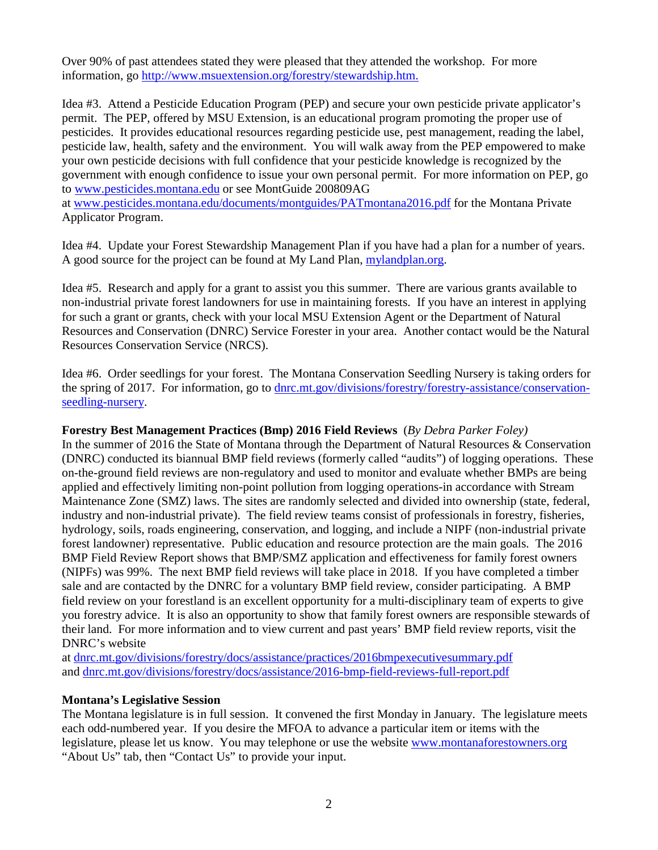Over 90% of past attendees stated they were pleased that they attended the workshop. For more information, go <http://www.msuextension.org/forestry/stewardship.htm.>

Idea #3. Attend a Pesticide Education Program (PEP) and secure your own pesticide private applicator's permit. The PEP, offered by MSU Extension, is an educational program promoting the proper use of pesticides. It provides educational resources regarding pesticide use, pest management, reading the label, pesticide law, health, safety and the environment. You will walk away from the PEP empowered to make your own pesticide decisions with full confidence that your pesticide knowledge is recognized by the government with enough confidence to issue your own personal permit. For more information on PEP, go to [www.pesticides.montana.edu](http://www.pesticides.montana.edu/) or see MontGuide 200809AG at [www.pesticides.montana.edu/documents/montguides/PATmontana2016.pdf](http://www.pesticides.montana.edu/documents/montguides/PATmontana2016.pdf) for the Montana Private

Applicator Program.

Idea #4. Update your Forest Stewardship Management Plan if you have had a plan for a number of years. A good source for the project can be found at My Land Plan, [mylandplan.org.](https://mylandplan.org/)

Idea #5. Research and apply for a grant to assist you this summer. There are various grants available to non-industrial private forest landowners for use in maintaining forests. If you have an interest in applying for such a grant or grants, check with your local MSU Extension Agent or the Department of Natural Resources and Conservation (DNRC) Service Forester in your area. Another contact would be the Natural Resources Conservation Service (NRCS).

Idea #6. Order seedlings for your forest. The Montana Conservation Seedling Nursery is taking orders for the spring of 2017. For information, go to [dnrc.mt.gov/divisions/forestry/forestry-assistance/conservation](http://dnrc.mt.gov/divisions/forestry/forestry-assistance/conservation-seedling-nursery)[seedling-nursery.](http://dnrc.mt.gov/divisions/forestry/forestry-assistance/conservation-seedling-nursery)

# **Forestry Best Management Practices (Bmp) 2016 Field Reviews** (*By Debra Parker Foley)*

In the summer of 2016 the State of Montana through the Department of Natural Resources & Conservation (DNRC) conducted its biannual BMP field reviews (formerly called "audits") of logging operations. These on-the-ground field reviews are non-regulatory and used to monitor and evaluate whether BMPs are being applied and effectively limiting non-point pollution from logging operations-in accordance with Stream Maintenance Zone (SMZ) laws. The sites are randomly selected and divided into ownership (state, federal, industry and non-industrial private). The field review teams consist of professionals in forestry, fisheries, hydrology, soils, roads engineering, conservation, and logging, and include a NIPF (non-industrial private forest landowner) representative. Public education and resource protection are the main goals. The 2016 BMP Field Review Report shows that BMP/SMZ application and effectiveness for family forest owners (NIPFs) was 99%. The next BMP field reviews will take place in 2018. If you have completed a timber sale and are contacted by the DNRC for a voluntary BMP field review, consider participating. A BMP field review on your forestland is an excellent opportunity for a multi-disciplinary team of experts to give you forestry advice. It is also an opportunity to show that family forest owners are responsible stewards of their land. For more information and to view current and past years' BMP field review reports, visit the DNRC's website

at [dnrc.mt.gov/divisions/forestry/docs/assistance/practices/2016bmpexecutivesummary.pdf](http://dnrc.mt.gov/divisions/forestry/docs/assistance/practices/2016bmpexecutivesummary.pdf) and [dnrc.mt.gov/divisions/forestry/docs/assistance/2016-bmp-field-reviews-full-report.pdf](http://dnrc.mt.gov/divisions/forestry/docs/assistance/2016-bmp-field-reviews-full-report.pdf)

#### **Montana's Legislative Session**

The Montana legislature is in full session. It convened the first Monday in January. The legislature meets each odd-numbered year. If you desire the MFOA to advance a particular item or items with the legislature, please let us know. You may telephone or use the website [www.montanaforestowners.org](http://www.montanaforestowners.org/) "About Us" tab, then "Contact Us" to provide your input.